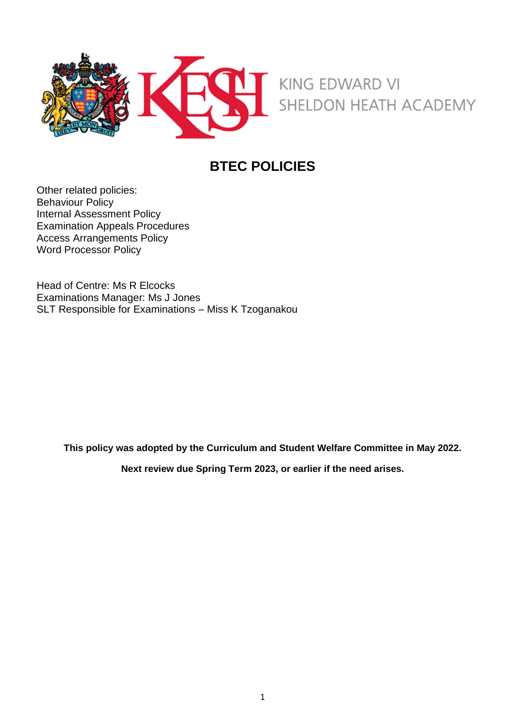

# **BTEC POLICIES**

Other related policies: Behaviour Policy Internal Assessment Policy Examination Appeals Procedures Access Arrangements Policy Word Processor Policy

Head of Centre: Ms R Elcocks Examinations Manager: Ms J Jones SLT Responsible for Examinations – Miss K Tzoganakou

**This policy was adopted by the Curriculum and Student Welfare Committee in May 2022.**

**Next review due Spring Term 2023, or earlier if the need arises.**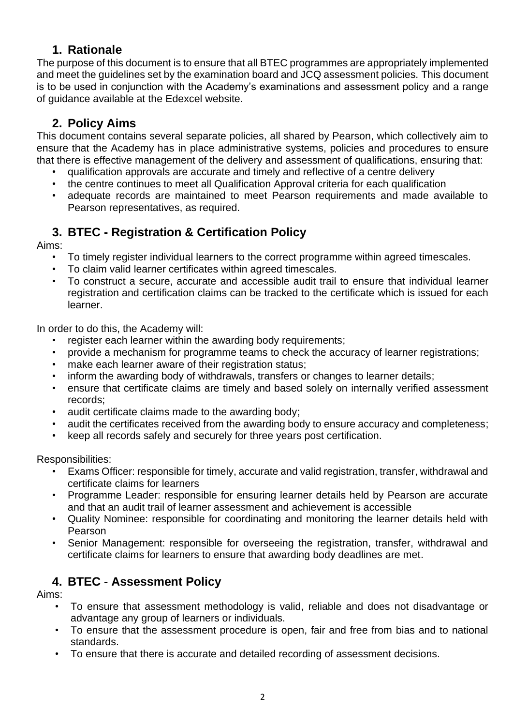### **1. Rationale**

The purpose of this document is to ensure that all BTEC programmes are appropriately implemented and meet the guidelines set by the examination board and JCQ assessment policies. This document is to be used in conjunction with the Academy's examinations and assessment policy and a range of guidance available at the Edexcel website.

## **2. Policy Aims**

This document contains several separate policies, all shared by Pearson, which collectively aim to ensure that the Academy has in place administrative systems, policies and procedures to ensure that there is effective management of the delivery and assessment of qualifications, ensuring that:

- qualification approvals are accurate and timely and reflective of a centre delivery
- the centre continues to meet all Qualification Approval criteria for each qualification
- adequate records are maintained to meet Pearson requirements and made available to Pearson representatives, as required.

## **3. BTEC - Registration & Certification Policy**

Aims:

- To timely register individual learners to the correct programme within agreed timescales.
- To claim valid learner certificates within agreed timescales.
- To construct a secure, accurate and accessible audit trail to ensure that individual learner registration and certification claims can be tracked to the certificate which is issued for each learner.

In order to do this, the Academy will:

- register each learner within the awarding body requirements;
- provide a mechanism for programme teams to check the accuracy of learner registrations;
- make each learner aware of their registration status;
- inform the awarding body of withdrawals, transfers or changes to learner details;
- ensure that certificate claims are timely and based solely on internally verified assessment records;
- audit certificate claims made to the awarding body;
- audit the certificates received from the awarding body to ensure accuracy and completeness;
- keep all records safely and securely for three years post certification.

Responsibilities:

- Exams Officer: responsible for timely, accurate and valid registration, transfer, withdrawal and certificate claims for learners
- Programme Leader: responsible for ensuring learner details held by Pearson are accurate and that an audit trail of learner assessment and achievement is accessible
- Quality Nominee: responsible for coordinating and monitoring the learner details held with Pearson
- Senior Management: responsible for overseeing the registration, transfer, withdrawal and certificate claims for learners to ensure that awarding body deadlines are met.

## **4. BTEC - Assessment Policy**

Aims:

- To ensure that assessment methodology is valid, reliable and does not disadvantage or advantage any group of learners or individuals.
- To ensure that the assessment procedure is open, fair and free from bias and to national standards.
- To ensure that there is accurate and detailed recording of assessment decisions.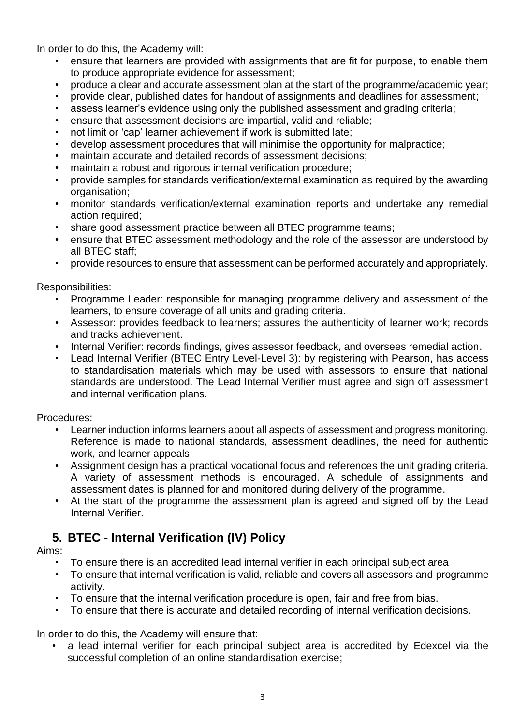In order to do this, the Academy will:

- ensure that learners are provided with assignments that are fit for purpose, to enable them to produce appropriate evidence for assessment;
- produce a clear and accurate assessment plan at the start of the programme/academic year;
- provide clear, published dates for handout of assignments and deadlines for assessment;
- assess learner's evidence using only the published assessment and grading criteria;
- ensure that assessment decisions are impartial, valid and reliable;
- not limit or 'cap' learner achievement if work is submitted late;
- develop assessment procedures that will minimise the opportunity for malpractice;
- maintain accurate and detailed records of assessment decisions:
- maintain a robust and rigorous internal verification procedure;
- provide samples for standards verification/external examination as required by the awarding organisation;
- monitor standards verification/external examination reports and undertake any remedial action required;
- share good assessment practice between all BTEC programme teams;
- ensure that BTEC assessment methodology and the role of the assessor are understood by all BTEC staff;
- provide resources to ensure that assessment can be performed accurately and appropriately.

Responsibilities:

- Programme Leader: responsible for managing programme delivery and assessment of the learners, to ensure coverage of all units and grading criteria.
- Assessor: provides feedback to learners; assures the authenticity of learner work; records and tracks achievement.
- Internal Verifier: records findings, gives assessor feedback, and oversees remedial action.
- Lead Internal Verifier (BTEC Entry Level-Level 3): by registering with Pearson, has access to standardisation materials which may be used with assessors to ensure that national standards are understood. The Lead Internal Verifier must agree and sign off assessment and internal verification plans.

Procedures:

- Learner induction informs learners about all aspects of assessment and progress monitoring. Reference is made to national standards, assessment deadlines, the need for authentic work, and learner appeals
- Assignment design has a practical vocational focus and references the unit grading criteria. A variety of assessment methods is encouraged. A schedule of assignments and assessment dates is planned for and monitored during delivery of the programme.
- At the start of the programme the assessment plan is agreed and signed off by the Lead Internal Verifier.

### **5. BTEC - Internal Verification (IV) Policy**

Aims:

- To ensure there is an accredited lead internal verifier in each principal subject area
- To ensure that internal verification is valid, reliable and covers all assessors and programme activity.
- To ensure that the internal verification procedure is open, fair and free from bias.
- To ensure that there is accurate and detailed recording of internal verification decisions.

In order to do this, the Academy will ensure that:

• a lead internal verifier for each principal subject area is accredited by Edexcel via the successful completion of an online standardisation exercise;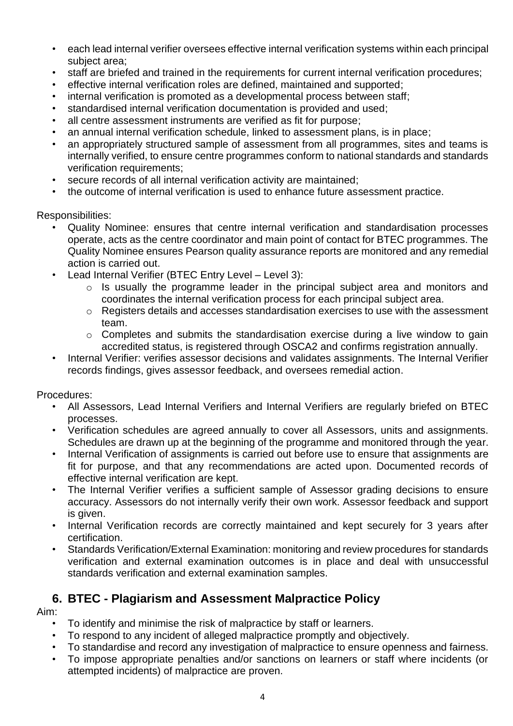- each lead internal verifier oversees effective internal verification systems within each principal subject area;
- staff are briefed and trained in the requirements for current internal verification procedures;
- effective internal verification roles are defined, maintained and supported;
- internal verification is promoted as a developmental process between staff;
- standardised internal verification documentation is provided and used;
- all centre assessment instruments are verified as fit for purpose:
- an annual internal verification schedule, linked to assessment plans, is in place;
- an appropriately structured sample of assessment from all programmes, sites and teams is internally verified, to ensure centre programmes conform to national standards and standards verification requirements;
- secure records of all internal verification activity are maintained;
- the outcome of internal verification is used to enhance future assessment practice.

Responsibilities:

- Quality Nominee: ensures that centre internal verification and standardisation processes operate, acts as the centre coordinator and main point of contact for BTEC programmes. The Quality Nominee ensures Pearson quality assurance reports are monitored and any remedial action is carried out.
- Lead Internal Verifier (BTEC Entry Level Level 3):
	- o Is usually the programme leader in the principal subject area and monitors and coordinates the internal verification process for each principal subject area.
	- o Registers details and accesses standardisation exercises to use with the assessment team.
	- o Completes and submits the standardisation exercise during a live window to gain accredited status, is registered through OSCA2 and confirms registration annually.
- Internal Verifier: verifies assessor decisions and validates assignments. The Internal Verifier records findings, gives assessor feedback, and oversees remedial action.

Procedures:

- All Assessors, Lead Internal Verifiers and Internal Verifiers are regularly briefed on BTEC processes.
- Verification schedules are agreed annually to cover all Assessors, units and assignments. Schedules are drawn up at the beginning of the programme and monitored through the year.
- Internal Verification of assignments is carried out before use to ensure that assignments are fit for purpose, and that any recommendations are acted upon. Documented records of effective internal verification are kept.
- The Internal Verifier verifies a sufficient sample of Assessor grading decisions to ensure accuracy. Assessors do not internally verify their own work. Assessor feedback and support is given.
- Internal Verification records are correctly maintained and kept securely for 3 years after certification.
- Standards Verification/External Examination: monitoring and review procedures for standards verification and external examination outcomes is in place and deal with unsuccessful standards verification and external examination samples.

### **6. BTEC - Plagiarism and Assessment Malpractice Policy**

Aim:

- To identify and minimise the risk of malpractice by staff or learners.
- To respond to any incident of alleged malpractice promptly and objectively.
- To standardise and record any investigation of malpractice to ensure openness and fairness.
- To impose appropriate penalties and/or sanctions on learners or staff where incidents (or attempted incidents) of malpractice are proven.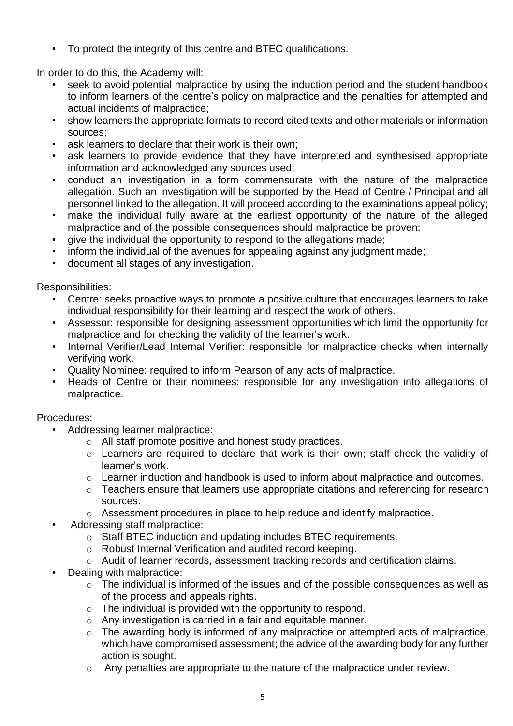• To protect the integrity of this centre and BTEC qualifications.

In order to do this, the Academy will:

- seek to avoid potential malpractice by using the induction period and the student handbook to inform learners of the centre's policy on malpractice and the penalties for attempted and actual incidents of malpractice;
- show learners the appropriate formats to record cited texts and other materials or information sources;
- ask learners to declare that their work is their own;
- ask learners to provide evidence that they have interpreted and synthesised appropriate information and acknowledged any sources used;
- conduct an investigation in a form commensurate with the nature of the malpractice allegation. Such an investigation will be supported by the Head of Centre / Principal and all personnel linked to the allegation. It will proceed according to the examinations appeal policy;
- make the individual fully aware at the earliest opportunity of the nature of the alleged malpractice and of the possible consequences should malpractice be proven;
- give the individual the opportunity to respond to the allegations made;
- inform the individual of the avenues for appealing against any judgment made;
- document all stages of any investigation.

Responsibilities:

- Centre: seeks proactive ways to promote a positive culture that encourages learners to take individual responsibility for their learning and respect the work of others.
- Assessor: responsible for designing assessment opportunities which limit the opportunity for malpractice and for checking the validity of the learner's work.
- Internal Verifier/Lead Internal Verifier: responsible for malpractice checks when internally verifying work.
- Quality Nominee: required to inform Pearson of any acts of malpractice.
- Heads of Centre or their nominees: responsible for any investigation into allegations of malpractice.

#### Procedures:

- Addressing learner malpractice:
	- o All staff promote positive and honest study practices.
	- o Learners are required to declare that work is their own; staff check the validity of learner's work.
	- o Learner induction and handbook is used to inform about malpractice and outcomes.
	- o Teachers ensure that learners use appropriate citations and referencing for research sources.
	- o Assessment procedures in place to help reduce and identify malpractice.
- Addressing staff malpractice:
	- o Staff BTEC induction and updating includes BTEC requirements.
	- o Robust Internal Verification and audited record keeping.
	- o Audit of learner records, assessment tracking records and certification claims.
- Dealing with malpractice:
	- o The individual is informed of the issues and of the possible consequences as well as of the process and appeals rights.
	- o The individual is provided with the opportunity to respond.
	- o Any investigation is carried in a fair and equitable manner.
	- o The awarding body is informed of any malpractice or attempted acts of malpractice, which have compromised assessment; the advice of the awarding body for any further action is sought.
	- o Any penalties are appropriate to the nature of the malpractice under review.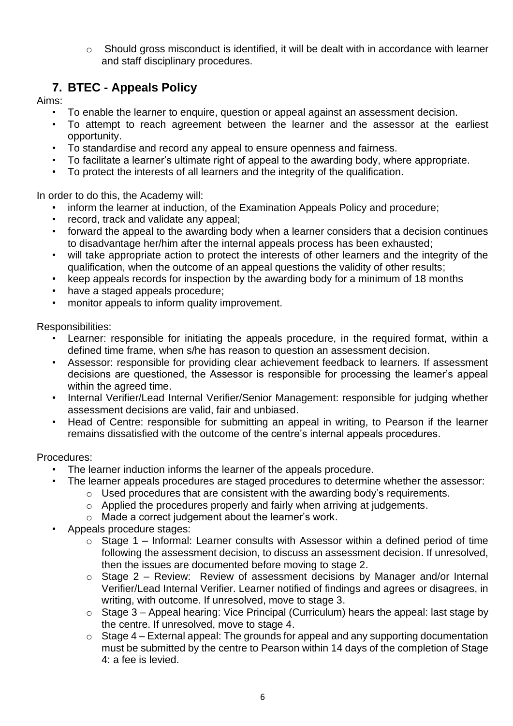o Should gross misconduct is identified, it will be dealt with in accordance with learner and staff disciplinary procedures.

## **7. BTEC - Appeals Policy**

Aims:

- To enable the learner to enquire, question or appeal against an assessment decision.
- To attempt to reach agreement between the learner and the assessor at the earliest opportunity.
- To standardise and record any appeal to ensure openness and fairness.
- To facilitate a learner's ultimate right of appeal to the awarding body, where appropriate.
- To protect the interests of all learners and the integrity of the qualification.

In order to do this, the Academy will:

- inform the learner at induction, of the Examination Appeals Policy and procedure;
- record, track and validate any appeal;
- forward the appeal to the awarding body when a learner considers that a decision continues to disadvantage her/him after the internal appeals process has been exhausted;
- will take appropriate action to protect the interests of other learners and the integrity of the qualification, when the outcome of an appeal questions the validity of other results;
- keep appeals records for inspection by the awarding body for a minimum of 18 months
- have a staged appeals procedure;
- monitor appeals to inform quality improvement.

Responsibilities:

- Learner: responsible for initiating the appeals procedure, in the required format, within a defined time frame, when s/he has reason to question an assessment decision.
- Assessor: responsible for providing clear achievement feedback to learners. If assessment decisions are questioned, the Assessor is responsible for processing the learner's appeal within the agreed time.
- Internal Verifier/Lead Internal Verifier/Senior Management: responsible for judging whether assessment decisions are valid, fair and unbiased.
- Head of Centre: responsible for submitting an appeal in writing, to Pearson if the learner remains dissatisfied with the outcome of the centre's internal appeals procedures.

#### Procedures:

- The learner induction informs the learner of the appeals procedure.
	- The learner appeals procedures are staged procedures to determine whether the assessor:
		- $\circ$  Used procedures that are consistent with the awarding body's requirements.
		- o Applied the procedures properly and fairly when arriving at judgements.
		- o Made a correct judgement about the learner's work.
- Appeals procedure stages:
	- $\circ$  Stage 1 Informal: Learner consults with Assessor within a defined period of time following the assessment decision, to discuss an assessment decision. If unresolved, then the issues are documented before moving to stage 2.
	- o Stage 2 Review: Review of assessment decisions by Manager and/or Internal Verifier/Lead Internal Verifier. Learner notified of findings and agrees or disagrees, in writing, with outcome. If unresolved, move to stage 3.
	- $\circ$  Stage 3 Appeal hearing: Vice Principal (Curriculum) hears the appeal: last stage by the centre. If unresolved, move to stage 4.
	- $\circ$  Stage 4 External appeal: The grounds for appeal and any supporting documentation must be submitted by the centre to Pearson within 14 days of the completion of Stage  $4:$  a fee is levied.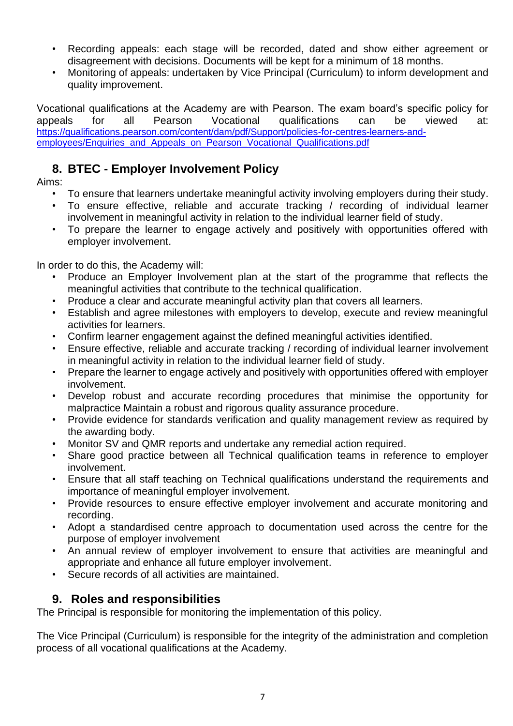- Recording appeals: each stage will be recorded, dated and show either agreement or disagreement with decisions. Documents will be kept for a minimum of 18 months.
- Monitoring of appeals: undertaken by Vice Principal (Curriculum) to inform development and quality improvement.

Vocational qualifications at the Academy are with Pearson. The exam board's specific policy for appeals for all Pearson Vocational qualifications can be viewed at: [https://qualifications.pearson.com/content/dam/pdf/Support/policies-for-centres-learners-and](https://qualifications.pearson.com/content/dam/pdf/Support/policies-for-centres-learners-and-employees/Enquiries_and_Appeals_on_Pearson_Vocational_Qualifications.pdf)[employees/Enquiries\\_and\\_Appeals\\_on\\_Pearson\\_Vocational\\_Qualifications.pdf](https://qualifications.pearson.com/content/dam/pdf/Support/policies-for-centres-learners-and-employees/Enquiries_and_Appeals_on_Pearson_Vocational_Qualifications.pdf)

### **8. BTEC - Employer Involvement Policy**

Aims:

- To ensure that learners undertake meaningful activity involving employers during their study.
- To ensure effective, reliable and accurate tracking / recording of individual learner involvement in meaningful activity in relation to the individual learner field of study.
- To prepare the learner to engage actively and positively with opportunities offered with employer involvement.

In order to do this, the Academy will:

- Produce an Employer Involvement plan at the start of the programme that reflects the meaningful activities that contribute to the technical qualification.
- Produce a clear and accurate meaningful activity plan that covers all learners.
- Establish and agree milestones with employers to develop, execute and review meaningful activities for learners.
- Confirm learner engagement against the defined meaningful activities identified.
- Ensure effective, reliable and accurate tracking / recording of individual learner involvement in meaningful activity in relation to the individual learner field of study.
- Prepare the learner to engage actively and positively with opportunities offered with employer involvement.
- Develop robust and accurate recording procedures that minimise the opportunity for malpractice Maintain a robust and rigorous quality assurance procedure.
- Provide evidence for standards verification and quality management review as required by the awarding body.
- Monitor SV and QMR reports and undertake any remedial action required.
- Share good practice between all Technical qualification teams in reference to employer involvement.
- Ensure that all staff teaching on Technical qualifications understand the requirements and importance of meaningful employer involvement.
- Provide resources to ensure effective employer involvement and accurate monitoring and recording.
- Adopt a standardised centre approach to documentation used across the centre for the purpose of employer involvement
- An annual review of employer involvement to ensure that activities are meaningful and appropriate and enhance all future employer involvement.
- Secure records of all activities are maintained.

#### **9. Roles and responsibilities**

The Principal is responsible for monitoring the implementation of this policy.

The Vice Principal (Curriculum) is responsible for the integrity of the administration and completion process of all vocational qualifications at the Academy.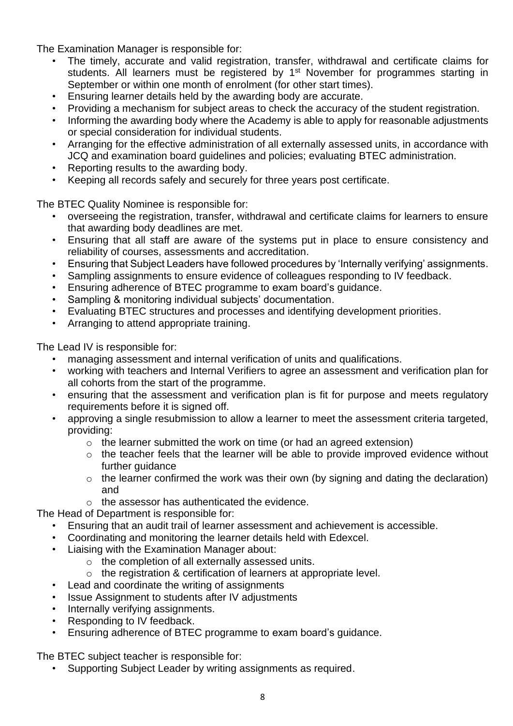The Examination Manager is responsible for:

- The timely, accurate and valid registration, transfer, withdrawal and certificate claims for students. All learners must be registered by 1<sup>st</sup> November for programmes starting in September or within one month of enrolment (for other start times).
- Ensuring learner details held by the awarding body are accurate.
- Providing a mechanism for subject areas to check the accuracy of the student registration.
- Informing the awarding body where the Academy is able to apply for reasonable adjustments or special consideration for individual students.
- Arranging for the effective administration of all externally assessed units, in accordance with JCQ and examination board guidelines and policies; evaluating BTEC administration.
- Reporting results to the awarding body.
- Keeping all records safely and securely for three years post certificate.

The BTEC Quality Nominee is responsible for:

- overseeing the registration, transfer, withdrawal and certificate claims for learners to ensure that awarding body deadlines are met.
- Ensuring that all staff are aware of the systems put in place to ensure consistency and reliability of courses, assessments and accreditation.
- Ensuring that Subject Leaders have followed procedures by 'Internally verifying' assignments.
- Sampling assignments to ensure evidence of colleagues responding to IV feedback.
- Ensuring adherence of BTEC programme to exam board's guidance.
- Sampling & monitoring individual subjects' documentation.
- Evaluating BTEC structures and processes and identifying development priorities.
- Arranging to attend appropriate training.

The Lead IV is responsible for:

- managing assessment and internal verification of units and qualifications.
- working with teachers and Internal Verifiers to agree an assessment and verification plan for all cohorts from the start of the programme.
- ensuring that the assessment and verification plan is fit for purpose and meets regulatory requirements before it is signed off.
- approving a single resubmission to allow a learner to meet the assessment criteria targeted, providing:
	- $\circ$  the learner submitted the work on time (or had an agreed extension)
	- o the teacher feels that the learner will be able to provide improved evidence without further guidance
	- $\circ$  the learner confirmed the work was their own (by signing and dating the declaration) and
	- o the assessor has authenticated the evidence.

The Head of Department is responsible for:

- Ensuring that an audit trail of learner assessment and achievement is accessible.
- Coordinating and monitoring the learner details held with Edexcel.
- Liaising with the Examination Manager about:
	- o the completion of all externally assessed units.
	- o the registration & certification of learners at appropriate level.
- Lead and coordinate the writing of assignments
- Issue Assignment to students after IV adjustments
- Internally verifying assignments.
- Responding to IV feedback.
- Ensuring adherence of BTEC programme to exam board's guidance.

The BTEC subject teacher is responsible for:

• Supporting Subject Leader by writing assignments as required.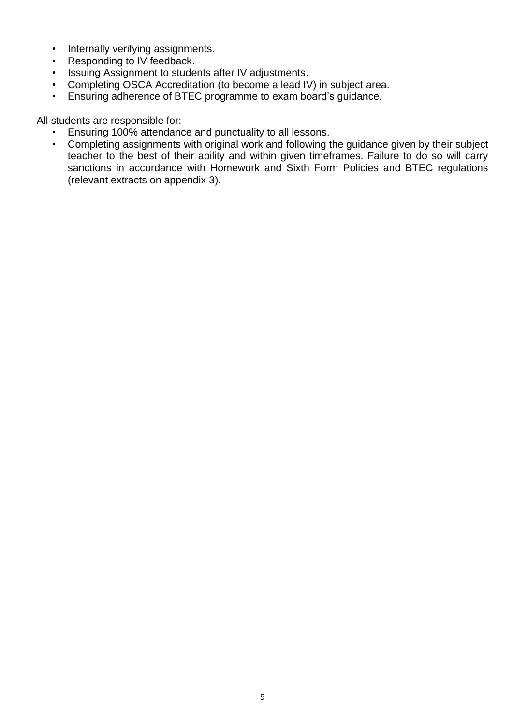- Internally verifying assignments.
- Responding to IV feedback.
- Issuing Assignment to students after IV adjustments.
- Completing OSCA Accreditation (to become a lead IV) in subject area.
- Ensuring adherence of BTEC programme to exam board's guidance.

All students are responsible for:

- Ensuring 100% attendance and punctuality to all lessons.
- Completing assignments with original work and following the guidance given by their subject teacher to the best of their ability and within given timeframes. Failure to do so will carry sanctions in accordance with Homework and Sixth Form Policies and BTEC regulations (relevant extracts on appendix 3).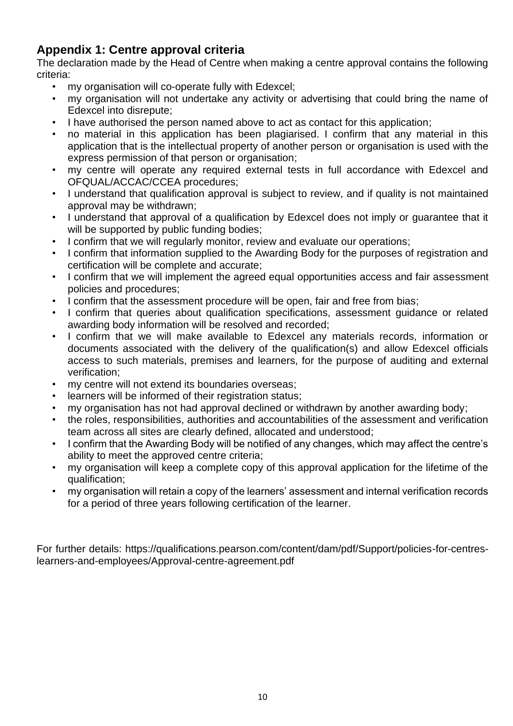### **Appendix 1: Centre approval criteria**

The declaration made by the Head of Centre when making a centre approval contains the following criteria:

- my organisation will co-operate fully with Edexcel;
- my organisation will not undertake any activity or advertising that could bring the name of Edexcel into disrepute;
- I have authorised the person named above to act as contact for this application;
- no material in this application has been plagiarised. I confirm that any material in this application that is the intellectual property of another person or organisation is used with the express permission of that person or organisation;
- my centre will operate any required external tests in full accordance with Edexcel and OFQUAL/ACCAC/CCEA procedures;
- I understand that qualification approval is subject to review, and if quality is not maintained approval may be withdrawn;
- I understand that approval of a qualification by Edexcel does not imply or guarantee that it will be supported by public funding bodies;
- I confirm that we will regularly monitor, review and evaluate our operations;
- I confirm that information supplied to the Awarding Body for the purposes of registration and certification will be complete and accurate;
- I confirm that we will implement the agreed equal opportunities access and fair assessment policies and procedures;
- I confirm that the assessment procedure will be open, fair and free from bias;
- I confirm that queries about qualification specifications, assessment quidance or related awarding body information will be resolved and recorded;
- I confirm that we will make available to Edexcel any materials records, information or documents associated with the delivery of the qualification(s) and allow Edexcel officials access to such materials, premises and learners, for the purpose of auditing and external verification;
- my centre will not extend its boundaries overseas;
- learners will be informed of their registration status:
- my organisation has not had approval declined or withdrawn by another awarding body;
- the roles, responsibilities, authorities and accountabilities of the assessment and verification team across all sites are clearly defined, allocated and understood;
- I confirm that the Awarding Body will be notified of any changes, which may affect the centre's ability to meet the approved centre criteria;
- my organisation will keep a complete copy of this approval application for the lifetime of the qualification;
- my organisation will retain a copy of the learners' assessment and internal verification records for a period of three years following certification of the learner.

For further details: https://qualifications.pearson.com/content/dam/pdf/Support/policies-for-centreslearners-and-employees/Approval-centre-agreement.pdf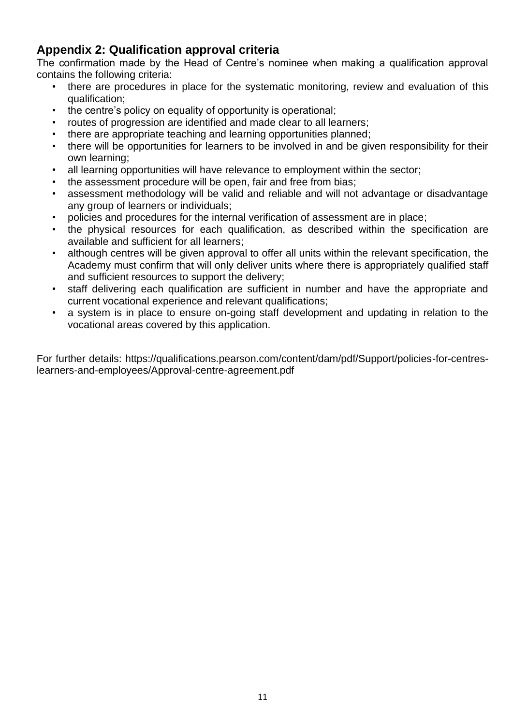### **Appendix 2: Qualification approval criteria**

The confirmation made by the Head of Centre's nominee when making a qualification approval contains the following criteria:

- there are procedures in place for the systematic monitoring, review and evaluation of this qualification;
- the centre's policy on equality of opportunity is operational;
- routes of progression are identified and made clear to all learners;
- there are appropriate teaching and learning opportunities planned;
- there will be opportunities for learners to be involved in and be given responsibility for their own learning;
- all learning opportunities will have relevance to employment within the sector;
- the assessment procedure will be open, fair and free from bias;
- assessment methodology will be valid and reliable and will not advantage or disadvantage any group of learners or individuals;
- policies and procedures for the internal verification of assessment are in place;
- the physical resources for each qualification, as described within the specification are available and sufficient for all learners;
- although centres will be given approval to offer all units within the relevant specification, the Academy must confirm that will only deliver units where there is appropriately qualified staff and sufficient resources to support the delivery;
- staff delivering each qualification are sufficient in number and have the appropriate and current vocational experience and relevant qualifications;
- a system is in place to ensure on-going staff development and updating in relation to the vocational areas covered by this application.

For further details: https://qualifications.pearson.com/content/dam/pdf/Support/policies-for-centreslearners-and-employees/Approval-centre-agreement.pdf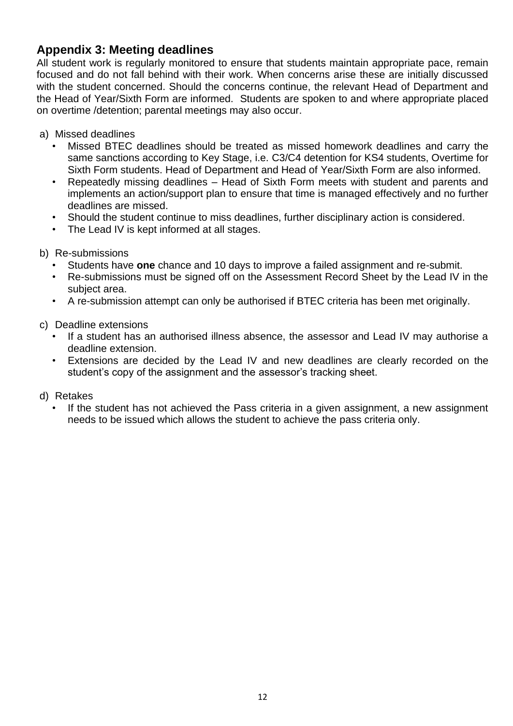#### **Appendix 3: Meeting deadlines**

All student work is regularly monitored to ensure that students maintain appropriate pace, remain focused and do not fall behind with their work. When concerns arise these are initially discussed with the student concerned. Should the concerns continue, the relevant Head of Department and the Head of Year/Sixth Form are informed. Students are spoken to and where appropriate placed on overtime /detention; parental meetings may also occur.

- a) Missed deadlines
	- Missed BTEC deadlines should be treated as missed homework deadlines and carry the same sanctions according to Key Stage, i.e. C3/C4 detention for KS4 students, Overtime for Sixth Form students. Head of Department and Head of Year/Sixth Form are also informed.
	- Repeatedly missing deadlines Head of Sixth Form meets with student and parents and implements an action/support plan to ensure that time is managed effectively and no further deadlines are missed.
	- Should the student continue to miss deadlines, further disciplinary action is considered.
	- The Lead IV is kept informed at all stages.
- b) Re-submissions
	- Students have **one** chance and 10 days to improve a failed assignment and re-submit.
	- Re-submissions must be signed off on the Assessment Record Sheet by the Lead IV in the subject area.
	- A re-submission attempt can only be authorised if BTEC criteria has been met originally.
- c) Deadline extensions
	- If a student has an authorised illness absence, the assessor and Lead IV may authorise a deadline extension.
	- Extensions are decided by the Lead IV and new deadlines are clearly recorded on the student's copy of the assignment and the assessor's tracking sheet.
- d) Retakes
	- If the student has not achieved the Pass criteria in a given assignment, a new assignment needs to be issued which allows the student to achieve the pass criteria only.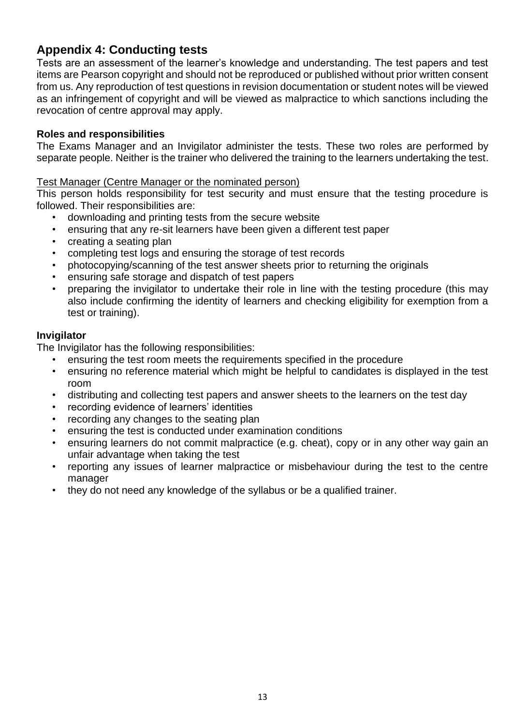### **Appendix 4: Conducting tests**

Tests are an assessment of the learner's knowledge and understanding. The test papers and test items are Pearson copyright and should not be reproduced or published without prior written consent from us. Any reproduction of test questions in revision documentation or student notes will be viewed as an infringement of copyright and will be viewed as malpractice to which sanctions including the revocation of centre approval may apply.

#### **Roles and responsibilities**

The Exams Manager and an Invigilator administer the tests. These two roles are performed by separate people. Neither is the trainer who delivered the training to the learners undertaking the test.

#### Test Manager (Centre Manager or the nominated person)

This person holds responsibility for test security and must ensure that the testing procedure is followed. Their responsibilities are:

- downloading and printing tests from the secure website
- ensuring that any re-sit learners have been given a different test paper
- creating a seating plan
- completing test logs and ensuring the storage of test records
- photocopying/scanning of the test answer sheets prior to returning the originals
- ensuring safe storage and dispatch of test papers
- preparing the invigilator to undertake their role in line with the testing procedure (this may also include confirming the identity of learners and checking eligibility for exemption from a test or training).

#### **Invigilator**

The Invigilator has the following responsibilities:

- ensuring the test room meets the requirements specified in the procedure
- ensuring no reference material which might be helpful to candidates is displayed in the test room
- distributing and collecting test papers and answer sheets to the learners on the test day
- recording evidence of learners' identities
- recording any changes to the seating plan
- ensuring the test is conducted under examination conditions
- ensuring learners do not commit malpractice (e.g. cheat), copy or in any other way gain an unfair advantage when taking the test
- reporting any issues of learner malpractice or misbehaviour during the test to the centre manager
- they do not need any knowledge of the syllabus or be a qualified trainer.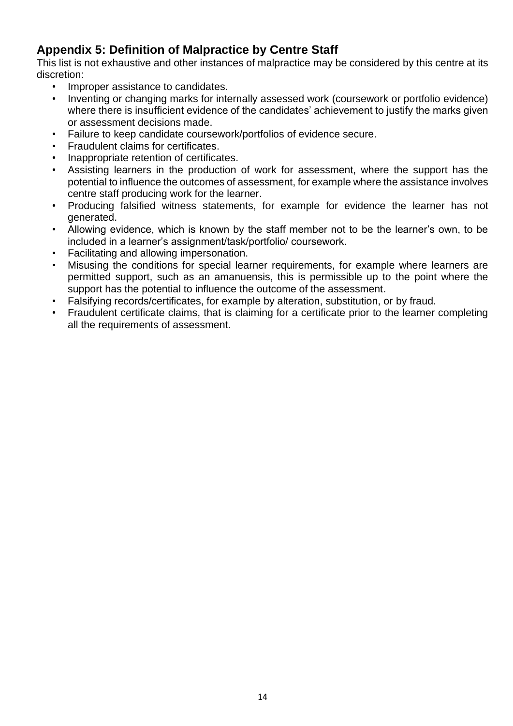### **Appendix 5: Definition of Malpractice by Centre Staff**

This list is not exhaustive and other instances of malpractice may be considered by this centre at its discretion:

- Improper assistance to candidates.
- Inventing or changing marks for internally assessed work (coursework or portfolio evidence) where there is insufficient evidence of the candidates' achievement to justify the marks given or assessment decisions made.
- Failure to keep candidate coursework/portfolios of evidence secure.
- Fraudulent claims for certificates.
- Inappropriate retention of certificates.
- Assisting learners in the production of work for assessment, where the support has the potential to influence the outcomes of assessment, for example where the assistance involves centre staff producing work for the learner.
- Producing falsified witness statements, for example for evidence the learner has not generated.
- Allowing evidence, which is known by the staff member not to be the learner's own, to be included in a learner's assignment/task/portfolio/ coursework.
- Facilitating and allowing impersonation.
- Misusing the conditions for special learner requirements, for example where learners are permitted support, such as an amanuensis, this is permissible up to the point where the support has the potential to influence the outcome of the assessment.
- Falsifying records/certificates, for example by alteration, substitution, or by fraud.
- Fraudulent certificate claims, that is claiming for a certificate prior to the learner completing all the requirements of assessment.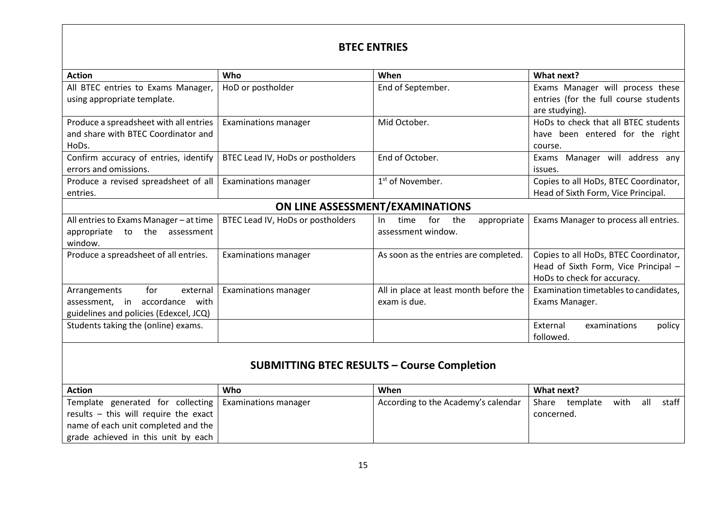#### **BTEC ENTRIES**

| <b>Action</b>                           | Who                               | When                                     | What next?                            |
|-----------------------------------------|-----------------------------------|------------------------------------------|---------------------------------------|
| All BTEC entries to Exams Manager,      | HoD or postholder                 | End of September.                        | Exams Manager will process these      |
| using appropriate template.             |                                   |                                          | entries (for the full course students |
|                                         |                                   |                                          | are studying).                        |
| Produce a spreadsheet with all entries  | <b>Examinations manager</b>       | Mid October.                             | HoDs to check that all BTEC students  |
| and share with BTEC Coordinator and     |                                   |                                          | have been entered for the right       |
| HoDs.                                   |                                   |                                          | course.                               |
| Confirm accuracy of entries, identify   | BTEC Lead IV, HoDs or postholders | End of October.                          | Exams Manager will address any        |
| errors and omissions.                   |                                   |                                          | issues.                               |
| Produce a revised spreadsheet of all    | <b>Examinations manager</b>       | $1st$ of November.                       | Copies to all HoDs, BTEC Coordinator, |
| entries.                                |                                   |                                          | Head of Sixth Form, Vice Principal.   |
| ON LINE ASSESSMENT/EXAMINATIONS         |                                   |                                          |                                       |
| All entries to Exams Manager - at time  | BTEC Lead IV, HoDs or postholders | for<br>the<br>appropriate<br>time<br>In. | Exams Manager to process all entries. |
| the<br>appropriate<br>to<br>assessment  |                                   | assessment window.                       |                                       |
| window.                                 |                                   |                                          |                                       |
| Produce a spreadsheet of all entries.   | <b>Examinations manager</b>       | As soon as the entries are completed.    | Copies to all HoDs, BTEC Coordinator, |
|                                         |                                   |                                          | Head of Sixth Form, Vice Principal -  |
|                                         |                                   |                                          | HoDs to check for accuracy.           |
| for<br>Arrangements<br>external         | <b>Examinations manager</b>       | All in place at least month before the   | Examination timetables to candidates, |
| accordance<br>with<br>assessment.<br>in |                                   | exam is due.                             | Exams Manager.                        |
| guidelines and policies (Edexcel, JCQ)  |                                   |                                          |                                       |
| Students taking the (online) exams.     |                                   |                                          | External<br>policy<br>examinations    |
|                                         |                                   |                                          | followed.                             |
|                                         |                                   |                                          |                                       |
| CUDNAITTINIC DTFC DECLILTC              |                                   |                                          |                                       |

#### **SUBMITTING BTEC RESULTS – Course Completion**

| <b>Action</b>                                            | Who | When                                | What next?                                |
|----------------------------------------------------------|-----|-------------------------------------|-------------------------------------------|
| Template generated for collecting   Examinations manager |     | According to the Academy's calendar | staff<br>all<br>with<br>Share<br>template |
| results – this will require the exact                    |     |                                     | concerned.                                |
| name of each unit completed and the                      |     |                                     |                                           |
| grade achieved in this unit by each                      |     |                                     |                                           |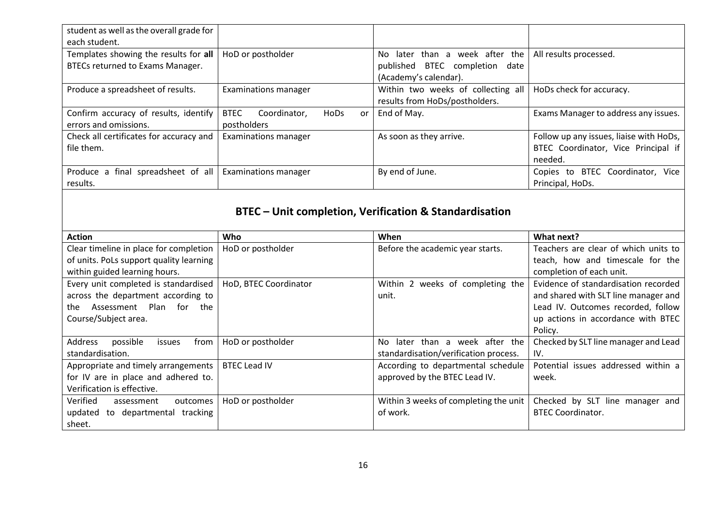| student as well as the overall grade for<br>each student.                 |                                                          |                                                                                                     |                                                                                           |
|---------------------------------------------------------------------------|----------------------------------------------------------|-----------------------------------------------------------------------------------------------------|-------------------------------------------------------------------------------------------|
| Templates showing the results for all<br>BTECs returned to Exams Manager. | HoD or postholder                                        | later than a week after the<br>No.<br>BTEC completion<br>published<br>date<br>(Academy's calendar). | All results processed.                                                                    |
| Produce a spreadsheet of results.                                         | Examinations manager                                     | Within two weeks of collecting all<br>results from HoDs/postholders.                                | HoDs check for accuracy.                                                                  |
| Confirm accuracy of results, identify<br>errors and omissions.            | <b>BTEC</b><br>Coordinator,<br>HoDs<br>or<br>postholders | End of May.                                                                                         | Exams Manager to address any issues.                                                      |
| Check all certificates for accuracy and<br>file them.                     | <b>Examinations manager</b>                              | As soon as they arrive.                                                                             | Follow up any issues, liaise with HoDs,<br>BTEC Coordinator, Vice Principal if<br>needed. |
| Produce a final spreadsheet of all<br>results.                            | <b>Examinations manager</b>                              | By end of June.                                                                                     | Copies to BTEC Coordinator, Vice<br>Principal, HoDs.                                      |

# **BTEC – Unit completion, Verification & Standardisation**

| <b>Action</b>                                | Who                   | When                                  | What next?                           |
|----------------------------------------------|-----------------------|---------------------------------------|--------------------------------------|
| Clear timeline in place for completion       | HoD or postholder     | Before the academic year starts.      | Teachers are clear of which units to |
| of units. PoLs support quality learning      |                       |                                       | teach, how and timescale for the     |
| within guided learning hours.                |                       |                                       | completion of each unit.             |
| Every unit completed is standardised         | HoD, BTEC Coordinator | Within 2 weeks of completing the      | Evidence of standardisation recorded |
| across the department according to           |                       | unit.                                 | and shared with SLT line manager and |
| Plan<br>for<br>the<br>Assessment<br>the      |                       |                                       | Lead IV. Outcomes recorded, follow   |
| Course/Subject area.                         |                       |                                       | up actions in accordance with BTEC   |
|                                              |                       |                                       | Policy.                              |
| <b>Address</b><br>possible<br>issues<br>trom | HoD or postholder     | later than a week after the<br>No.    | Checked by SLT line manager and Lead |
| standardisation.                             |                       | standardisation/verification process. | IV.                                  |
| Appropriate and timely arrangements          | <b>BTEC Lead IV</b>   | According to departmental schedule    | Potential issues addressed within a  |
| for IV are in place and adhered to.          |                       | approved by the BTEC Lead IV.         | week.                                |
| Verification is effective.                   |                       |                                       |                                      |
| Verified<br>outcomes<br>assessment           | HoD or postholder     | Within 3 weeks of completing the unit | Checked by SLT line manager and      |
| updated to departmental tracking             |                       | of work.                              | <b>BTEC Coordinator.</b>             |
| sheet.                                       |                       |                                       |                                      |